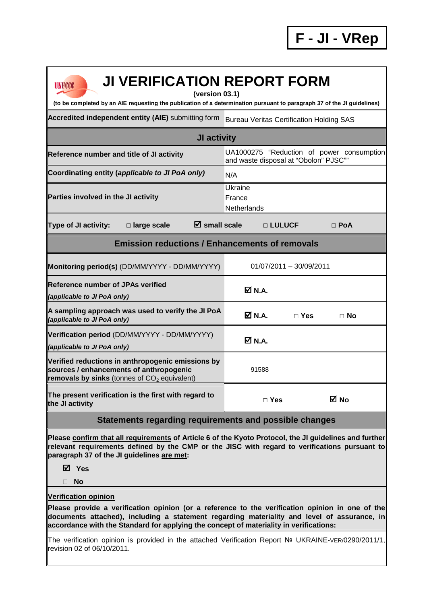| <b>UNFCCC</b> |  |
|---------------|--|
|               |  |

## **JI VERIFICATION REPORT FORM**

**(version 03.1)** 

**(to be completed by an AIE requesting the publication of a determination pursuant to paragraph 37 of the JI guidelines)** 

Accredited independent entity (AIE) submitting form Bureau Veritas Certification Holding SAS

| <b>JI activity</b>                                                                                                                             |                                                                                    |                           |            |  |  |
|------------------------------------------------------------------------------------------------------------------------------------------------|------------------------------------------------------------------------------------|---------------------------|------------|--|--|
| Reference number and title of JI activity                                                                                                      | UA1000275 "Reduction of power consumption<br>and waste disposal at "Obolon" PJSC"" |                           |            |  |  |
| Coordinating entity (applicable to JI PoA only)                                                                                                | N/A                                                                                |                           |            |  |  |
| Parties involved in the JI activity                                                                                                            | Ukraine<br>France<br>Netherlands                                                   |                           |            |  |  |
| <b>Type of JI activity:</b><br>$\boxtimes$ small scale<br>$\square$ large scale                                                                | □ LULUCF                                                                           |                           | $\Box$ PoA |  |  |
| <b>Emission reductions / Enhancements of removals</b>                                                                                          |                                                                                    |                           |            |  |  |
| Monitoring period(s) (DD/MM/YYYY - DD/MM/YYYY)                                                                                                 |                                                                                    | $01/07/2011 - 30/09/2011$ |            |  |  |
| <b>Reference number of JPAs verified</b><br>(applicable to JI PoA only)                                                                        | <b>☑ N.A.</b>                                                                      |                           |            |  |  |
| A sampling approach was used to verify the JI PoA<br>(applicable to JI PoA only)                                                               | ØN.A.                                                                              | $\sqcap$ Yes              | $\Box$ No  |  |  |
| Verification period (DD/MM/YYYY - DD/MM/YYYY)<br>(applicable to JI PoA only)                                                                   | $\boxtimes$ N.A.                                                                   |                           |            |  |  |
| Verified reductions in anthropogenic emissions by<br>sources / enhancements of anthropogenic<br>removals by sinks (tonnes of $CO2$ equivalent) | 91588                                                                              |                           |            |  |  |
| The present verification is the first with regard to<br>the JI activity                                                                        | $\Box$ Yes                                                                         |                           | M No       |  |  |

## **Statements regarding requirements and possible changes**

**Please confirm that all requirements of Article 6 of the Kyoto Protocol, the JI guidelines and further relevant requirements defined by the CMP or the JISC with regard to verifications pursuant to paragraph 37 of the JI guidelines are met:** 

**Yes** 

**No** 

## **Verification opinion**

**Please provide a verification opinion (or a reference to the verification opinion in one of the documents attached), including a statement regarding materiality and level of assurance, in accordance with the Standard for applying the concept of materiality in verifications:** 

The verification opinion is provided in the attached Verification Report № UKRAINE-VER/0290/2011/1, revision 02 of 06/10/2011.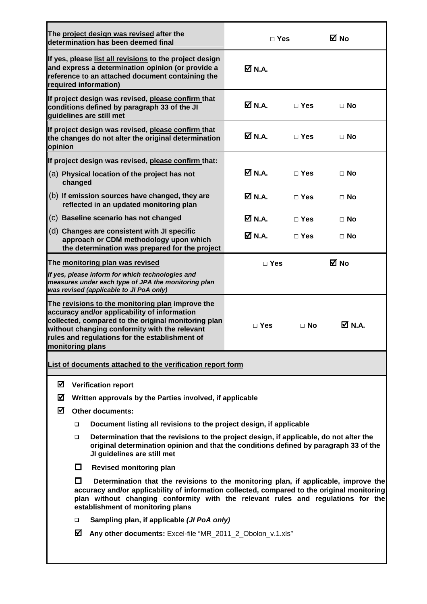| The project design was revised after the                                                                                                                                                                                                                                                                           |                                                                 |                                                                                                                                         |                              |                              |             |
|--------------------------------------------------------------------------------------------------------------------------------------------------------------------------------------------------------------------------------------------------------------------------------------------------------------------|-----------------------------------------------------------------|-----------------------------------------------------------------------------------------------------------------------------------------|------------------------------|------------------------------|-------------|
| determination has been deemed final                                                                                                                                                                                                                                                                                |                                                                 | $\Box$ Yes                                                                                                                              |                              | ⊠ No                         |             |
| If yes, please list all revisions to the project design<br>and express a determination opinion (or provide a<br>reference to an attached document containing the<br>required information)                                                                                                                          |                                                                 | ØN.A.                                                                                                                                   |                              |                              |             |
| If project design was revised, please confirm that<br>conditions defined by paragraph 33 of the JI<br>quidelines are still met                                                                                                                                                                                     |                                                                 |                                                                                                                                         | $\overline{\mathsf{M}}$ N.A. | $\Box$ Yes                   | $\Box$ No   |
| If project design was revised, please confirm that<br>the changes do not alter the original determination<br>opinion                                                                                                                                                                                               |                                                                 |                                                                                                                                         | Ø N.A.                       | $\Box$ Yes                   | $\Box$ No   |
|                                                                                                                                                                                                                                                                                                                    |                                                                 | If project design was revised, please confirm that:                                                                                     |                              |                              |             |
|                                                                                                                                                                                                                                                                                                                    | changed                                                         | (a) Physical location of the project has not                                                                                            | Ø N.A.                       | $\Box$ Yes                   | $\Box$ No   |
|                                                                                                                                                                                                                                                                                                                    |                                                                 | (b) If emission sources have changed, they are<br>reflected in an updated monitoring plan                                               | Ø N.A.                       | $\Box$ Yes                   | $\Box$ No   |
|                                                                                                                                                                                                                                                                                                                    |                                                                 | (c) Baseline scenario has not changed                                                                                                   | Ø N.A.                       | $\Box$ Yes                   | $\Box$ No   |
|                                                                                                                                                                                                                                                                                                                    |                                                                 | (d) Changes are consistent with JI specific<br>approach or CDM methodology upon which<br>the determination was prepared for the project | Ø N.A.                       | $\Box$ Yes                   | $\Box$ No   |
|                                                                                                                                                                                                                                                                                                                    |                                                                 | The monitoring plan was revised                                                                                                         | $\Box$ Yes                   |                              | <b>⊠</b> No |
| If yes, please inform for which technologies and<br>measures under each type of JPA the monitoring plan<br>was revised (applicable to JI PoA only)                                                                                                                                                                 |                                                                 |                                                                                                                                         |                              |                              |             |
| The revisions to the monitoring plan improve the<br>accuracy and/or applicability of information<br>collected, compared to the original monitoring plan<br>without changing conformity with the relevant<br>rules and regulations for the establishment of<br>monitoring plans                                     |                                                                 | $\Box$ Yes                                                                                                                              | $\Box$ No                    | $\overline{\mathsf{M}}$ N.A. |             |
| List of documents attached to the verification report form                                                                                                                                                                                                                                                         |                                                                 |                                                                                                                                         |                              |                              |             |
| ☑<br><b>Verification report</b>                                                                                                                                                                                                                                                                                    |                                                                 |                                                                                                                                         |                              |                              |             |
| ☑<br>Written approvals by the Parties involved, if applicable                                                                                                                                                                                                                                                      |                                                                 |                                                                                                                                         |                              |                              |             |
| ☑<br><b>Other documents:</b>                                                                                                                                                                                                                                                                                       |                                                                 |                                                                                                                                         |                              |                              |             |
| Document listing all revisions to the project design, if applicable<br>□                                                                                                                                                                                                                                           |                                                                 |                                                                                                                                         |                              |                              |             |
| Determination that the revisions to the project design, if applicable, do not alter the<br>▫<br>original determination opinion and that the conditions defined by paragraph 33 of the<br>JI guidelines are still met                                                                                               |                                                                 |                                                                                                                                         |                              |                              |             |
|                                                                                                                                                                                                                                                                                                                    | $\Box$                                                          | <b>Revised monitoring plan</b>                                                                                                          |                              |                              |             |
| l I<br>Determination that the revisions to the monitoring plan, if applicable, improve the<br>accuracy and/or applicability of information collected, compared to the original monitoring<br>plan without changing conformity with the relevant rules and regulations for the<br>establishment of monitoring plans |                                                                 |                                                                                                                                         |                              |                              |             |
|                                                                                                                                                                                                                                                                                                                    | Sampling plan, if applicable (JI PoA only)<br>□                 |                                                                                                                                         |                              |                              |             |
|                                                                                                                                                                                                                                                                                                                    | ☑<br>Any other documents: Excel-file "MR_2011_2_Obolon_v.1.xls" |                                                                                                                                         |                              |                              |             |
|                                                                                                                                                                                                                                                                                                                    |                                                                 |                                                                                                                                         |                              |                              |             |

 $\overline{\mathbf{u}}$